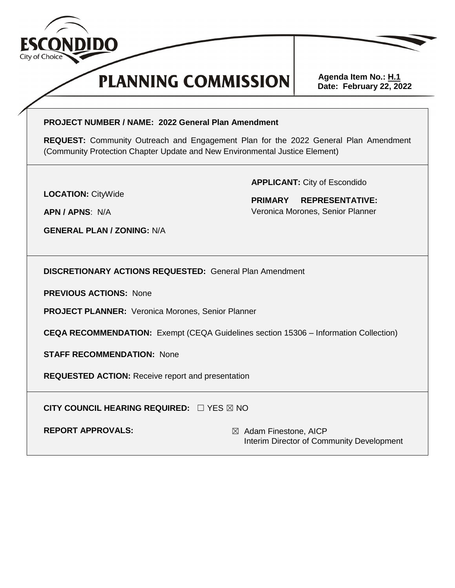

# **PLANNING COMMISSION**



**Agenda Item No.: H.1 Date: February 22, 2022**

**PROJECT NUMBER / NAME: 2022 General Plan Amendment**

**REQUEST:** Community Outreach and Engagement Plan for the 2022 General Plan Amendment (Community Protection Chapter Update and New Environmental Justice Element)

**LOCATION:** CityWide

**APPLICANT:** City of Escondido

**APN / APNS**: N/A

**GENERAL PLAN / ZONING:** N/A

**PRIMARY REPRESENTATIVE:**  Veronica Morones, Senior Planner

**DISCRETIONARY ACTIONS REQUESTED:** General Plan Amendment

**PREVIOUS ACTIONS:** None

**PROJECT PLANNER:** Veronica Morones, Senior Planner

**CEQA RECOMMENDATION:** Exempt (CEQA Guidelines section 15306 – Information Collection)

**STAFF RECOMMENDATION:** None

**REQUESTED ACTION:** Receive report and presentation

**CITY COUNCIL HEARING REQUIRED:** ☐ YES ☒ NO

**REPORT APPROVALS:**  $\boxtimes$  Adam Finestone, AICP Interim Director of Community Development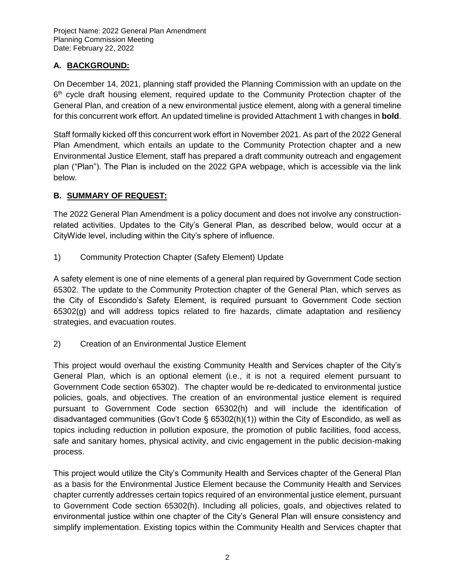Project Name: 2022 General Plan Amendment Planning Commission Meeting Date: February 22, 2022

### **A. BACKGROUND:**

On December 14, 2021, planning staff provided the Planning Commission with an update on the 6<sup>th</sup> cycle draft housing element, required update to the Community Protection chapter of the General Plan, and creation of a new environmental justice element, along with a general timeline for this concurrent work effort. An updated timeline is provided Attachment 1 with changes in **bold**.

Staff formally kicked off this concurrent work effort in November 2021. As part of the 2022 General Plan Amendment, which entails an update to the Community Protection chapter and a new Environmental Justice Element, staff has prepared a draft community outreach and engagement plan ("Plan"). The Plan is included on the 2022 GPA webpage, which is accessible via the link below.

#### **B. SUMMARY OF REQUEST:**

The 2022 General Plan Amendment is a policy document and does not involve any constructionrelated activities. Updates to the City's General Plan, as described below, would occur at a CityWide level, including within the City's sphere of influence.

1) Community Protection Chapter (Safety Element) Update

A safety element is one of nine elements of a general plan required by Government Code section 65302. The update to the Community Protection chapter of the General Plan, which serves as the City of Escondido's Safety Element, is required pursuant to Government Code section 65302(g) and will address topics related to fire hazards, climate adaptation and resiliency strategies, and evacuation routes.

2) Creation of an Environmental Justice Element

This project would overhaul the existing Community Health and Services chapter of the City's General Plan, which is an optional element (i.e., it is not a required element pursuant to Government Code section 65302). The chapter would be re-dedicated to environmental justice policies, goals, and objectives. The creation of an environmental justice element is required pursuant to Government Code section 65302(h) and will include the identification of disadvantaged communities (Gov't Code § 65302(h)(1)) within the City of Escondido, as well as topics including reduction in pollution exposure, the promotion of public facilities, food access, safe and sanitary homes, physical activity, and civic engagement in the public decision-making process.

This project would utilize the City's Community Health and Services chapter of the General Plan as a basis for the Environmental Justice Element because the Community Health and Services chapter currently addresses certain topics required of an environmental justice element, pursuant to Government Code section 65302(h). Including all policies, goals, and objectives related to environmental justice within one chapter of the City's General Plan will ensure consistency and simplify implementation. Existing topics within the Community Health and Services chapter that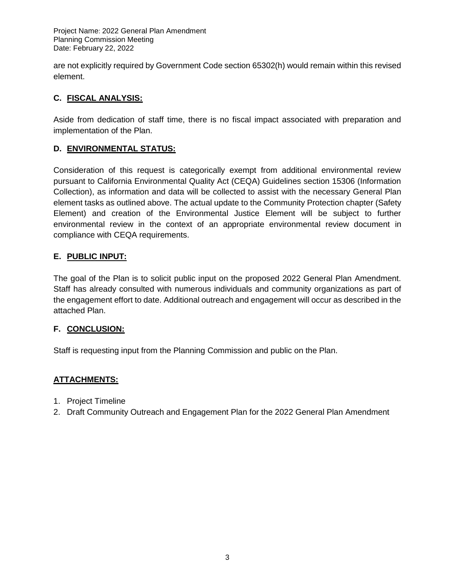Project Name: 2022 General Plan Amendment Planning Commission Meeting Date: February 22, 2022

are not explicitly required by Government Code section 65302(h) would remain within this revised element.

#### **C. FISCAL ANALYSIS:**

Aside from dedication of staff time, there is no fiscal impact associated with preparation and implementation of the Plan.

### **D. ENVIRONMENTAL STATUS:**

Consideration of this request is categorically exempt from additional environmental review pursuant to California Environmental Quality Act (CEQA) Guidelines section 15306 (Information Collection), as information and data will be collected to assist with the necessary General Plan element tasks as outlined above. The actual update to the Community Protection chapter (Safety Element) and creation of the Environmental Justice Element will be subject to further environmental review in the context of an appropriate environmental review document in compliance with CEQA requirements.

### **E. PUBLIC INPUT:**

The goal of the Plan is to solicit public input on the proposed 2022 General Plan Amendment. Staff has already consulted with numerous individuals and community organizations as part of the engagement effort to date. Additional outreach and engagement will occur as described in the attached Plan.

#### **F. CONCLUSION:**

Staff is requesting input from the Planning Commission and public on the Plan.

## **ATTACHMENTS:**

- 1. Project Timeline
- 2. Draft Community Outreach and Engagement Plan for the 2022 General Plan Amendment